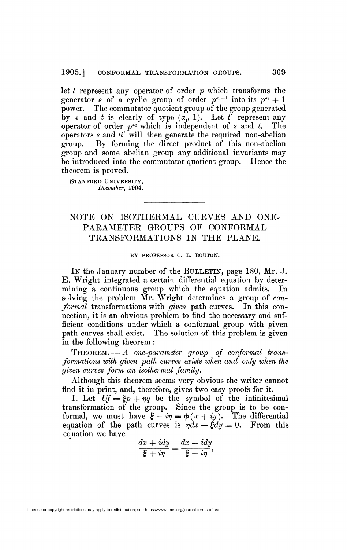let *t* represent any operator of order *p* which transforms the generator *s* of a cyclic group of order  $p^{a_1+1}$  into its  $p^{a_1} + 1$ power. The commutator quotient group of the group generated by *s* and *t* is clearly of type  $(a_0, 1)$ . Let *t'* represent any operator of order  $p^{a_2}$  which is independent of *s* and *t*. The operators *s* and *tt'* will then generate the required non-abelian group. By forming the direct product of this non-abelian group and some abelian group any additional invariants may be introduced into the commutator quotient group. Hence the theorem is proved.

STANFORD UNIVERSITY, *December,* 1904.

## NOTE ON ISOTHERMAL CURVES AND ONE-PARAMETER GROUPS OF CONFORMAL TRANSFORMATIONS IN THE PLANE.

## BY PROFESSOR C. L. BOUTON.

In the January number of the BULLETIN, page 180, Mr. J. E. Wright integrated a certain differential equation by determining a continuous group which the equation admits. In solving the problem Mr. Wright determines a group of *conformal* transformations with *given* path curves. In this connection, it is an obvious problem to find the necessary and sufficient conditions under which a conformai group with given path curves shall exist. The solution of this problem is given in the following theorem :

THEOREM. — *A one-parameter group of conformai transformations with given path curves exists when and only when the given curves form an isothermal family.* 

Although this theorem seems very obvious the writer cannot find it in print, and, therefore, gives two easy proofs for it.

I. Let  $Uf = \xi p + \eta q$  be the symbol of the infinitesimal transformation of the group. Since the group is to be conformal, we must have  $\xi + i\eta = \phi(x + iy)$ . The differential equation of the path curves is  $\eta dx - \xi dy = 0$ . From this equation we have

$$
\frac{dx + i dy}{\xi + i\eta} = \frac{dx - i dy}{\xi - i\eta},
$$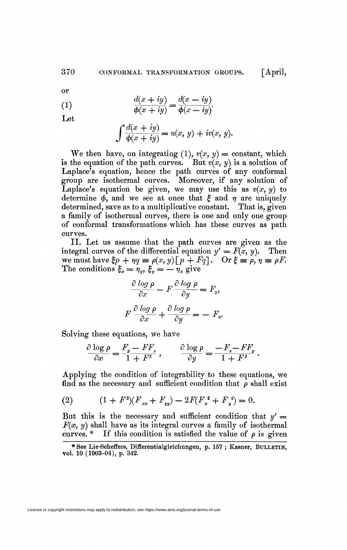or

(1) 
$$
\frac{d(x+iy)}{\phi(x+iy)} = \frac{d(x-iy)}{\phi(x-iy)}.
$$

Let

$$
\int \frac{d(x+iy)}{\phi(x+iy)} = u(x, y) + iv(x, y).
$$

We then have, on integrating (1),  $v(x, y) =$  constant, which is the equation of the path curves. But  $v(x, y)$  is a solution of Laplace's equation, hence the path curves of any conformal group are isothermal curves. Moreover, if any solution of Laplace's equation be given, we may use this as  $v(x, y)$  to determine  $\phi$ , and we see at once that  $\xi$  and  $\eta$  are uniquely determined, save as to a multiplicative constant. That is, given a family of isothermal curves, there is one and only one group of conformai transformations which has these curves as path curves.

II. Let us assume that the path curves are given as the integral curves of the differential equation  $y' = F(x, y)$ . Then we must have  $\xi p + \eta q \equiv \rho(x, y) [p + Fq]$ . Or  $\xi \equiv \rho, \eta \equiv \rho F$ . The conditions  $\xi_x = \eta_y, \xi_y = -\eta_x$  give

$$
\frac{\partial \log \rho}{\partial x} - F \frac{\partial \log \rho}{\partial y} = F_y,
$$
  

$$
F \frac{\partial \log \rho}{\partial x} + \frac{\partial \log \rho}{\partial y} = -F_x.
$$

Solving these equations, we have

$$
\frac{\partial \log \rho}{\partial x} = \frac{F_y - FF_x}{1 + F^2} \,, \qquad \frac{\partial \log \rho}{\partial y} = \frac{-F_x - FF_y}{1 + F^2} \,.
$$

Applying the condition of integrability to these equations, we find as the necessary and sufficient condition that *p* shall exist

(2) 
$$
(1 + F^2)(F_{xx} + F_{yy}) - 2F(F_x^2 + F_y^2) = 0.
$$

But this is the necessary and sufficient condition that  $y' =$  $F(x, y)$  shall have as its integral curves a family of isothermal curves.  $*$  If this condition is satisfied the value of  $\rho$  is given

<sup>\*</sup> See Lie-Scheffers, Differentialgleichungen, p. 157; Kasner, BULLETIN, vol. 10 (1903-04), p. 342.